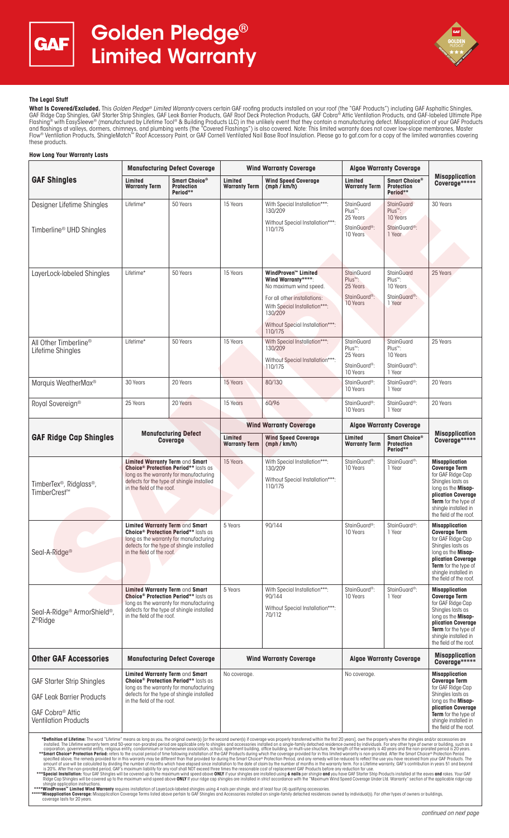



## **The Legal Stuff**

**What Is Covered/Excluded.** This *Golden Pledge® Limited Warranty* covers certain GAF roofing products installed on your roof (the "GAF Products") including GAF Asphaltic Shingles,<br>GAF Ridge Cap Shingles, GAF Starter Stri Flashing® with EasySleeve® (manufactured by Lifetime Tool® & Building Products LLC) in the unlikely event that they contain a manufacturing defect. Misapplication of your GAF Products and flashings at valleys, dormers, chimneys, and plumbing vents (the "Covered Flashings") is also covered. Note: This limited warranty does not cover low-slope membranes, Master<br>Flow® Ventilation Products, ShingleMatch™ Ro these products.

#### **How Long Your Warranty Lasts GAF Shingles Manufacturing Defect Coverage Wind Warranty Coverage Algae Warranty Coverage Misapplication Coverage\*\*\*\*\* Limited Wind Speed Coverage (mph / km/h) Warranty Term Smart Choice® Protection Period\*\* Limited Warranty Term Limited Warranty Term Smart Choice® Protection Period\*\*** Designer Lifetime Shingles Timberline® UHD Shingles Lifetime\* | 50 Years | 15 Years | With Special Installation\*\*\*: 130/209 Without Special Installation\*\*\*: 110/175 StainGuard Plus™: 25 Years StainGuard<sup>®</sup> 10 Years **StainGuard** Plus™: 10 Years StainGuard<sup>®</sup> 1 Year 30 Years LayerLock-labeled Shingles Lifetime<sup>\*</sup> 15 Years 155 Years **WindProven™ Limited** Wind Warranty\* No maximum wind speed. For all other installations: With Special Installation\*\*\*: 130/209 Without Special Installation\* 110/175 **StainGuard** Plus™: 25 Years StainGuard®: 10 Years **StainGuard** Plus™: 10 Years StainGuard®: 1 Year 25 Years All Other Timberline® Lifetime Shingles Lifetime\* 150 Years 15 Years 15 Years With Special Installation\*\*\* 130/209 Without Special Installation\*\*\* 110/175 **StainGuard** Plus™: 25 Years StainGuard®: 10 Years **StainGuard** Plus™: 10 Years StainGuard®: 1 Year 25 Years Marquis WeatherMax® 30 Years 20 Years 15 Years 80/130 StainGuard®: 10 Years StainGuard®: 1 Year 20 Years Royal Sovereign® 25 Years 20 Years 15 Years 60/96 StainGuard®: 10 Years StainGuard®: 1 Year 20 Years **GAF Ridge Cap Shingles Manufacturing Defect Coverage Wind Warranty Coverage Algae Warranty Coverage Misapplication Coverage\*\*\*\*\* Limited Wind Speed Coverage (mph / km/h) Warranty Term Limited Warranty Term Smart Choice® Protection Period\*\*** TimberTex®, Ridglass®, TimberCrest **Limited Warranty Term** and **Smart Choice® Protection Period\*\*** lasts as **UNDER PRODUCED FOR A FIGURE 1989 AND THE UP TO A FIGURE 1999 AND THE UP TO A FIGURE 1999 AND THE UP TO A FIGURE 1999** defects for the type of shingle installed in the field of the roof. 15 Years With Special Installation\*\*\* 130/209 Without Special Installation\*\*\*: 110/175 StainGuard®: 10 Years StainGuard®: 1 Year **Misapplication Coverage Term**  for GAF Ridge Cap Shingles lasts as long as the **Misap-plication Coverage Term** for the type of<br>shingle installed in shingle install the field of the roof. Seal-A-Ridge® **Limited Warranty Term** and **Smart Choice® Protection Period\*\*** lasts as long as the warranty for manufacturing defects for the type of shingle installed in the field of the roof. 5 Years 90/144 StainGuard® 10 Years StainGuard®: 1 Year **Misapplication Coverage Term**  for GAF Ridge Cap Shingles lasts as long as the **Misapplication Coverage Term** for the type of shingle installed in the field of the roof. Seal-A-Ridge® ArmorShield®, Z®Ridge **Limited Warranty Term** and **Smart Choice® Protection Period\*\*** lasts as long as the warranty for manufacturing defects for the type of shingle installed in the field of the roof. 5 Years With Special Installation\*\*\*: 90/144 Without Special Installation\*\*\*: 70/112 StainGuard®: 10 Years StainGuard®: 1 Year **Misapplication Coverage Term**  for GAF Ridge Cap Shingles lasts as long as the **Misapplication Coverage Term** for the type of shingle installed in the field of the roof. **Other GAF Accessories** | Manufacturing Defect Coverage | Wind Warranty Coverage | Algae Warranty Coverage **Coverage\*\*\*\*\*** GAF Starter Strip Shingles GAF Leak Barrier Products GAF Cobra® Attic Ventilation Products **Limited Warranty Term** and **Smart Choice® Protection Period\*\*** lasts as long as the warranty for manufacturing defects for the type of shingle installed in the field of the roof. No coverage.<br> **No coverage Term in the Coverage Term in the Coverage Term in the Coverage Term Coverage Term** for GAF Ridge Cap Shingles lasts as long as the **Misapplication Coverage Term** for the type of shingle install the field of the roof. **\*Definition** of Lifetime warranty term and 50-year non-prorated peiod on expute, the original owners (bind owners the second owners) if overage was properly transfered within the first 20 years. The warranty is enveloped Signal lifetime Strugges and the term of the strugges and the strugges of the term of the strugges of the strugges and the strugges of the strugges of the strugges of the strugges of the strugges of the strugges of the str

\*\*\*\*Win**dProven™ Limited Wind Warranty** requires installation of LayerLock-labeled shingles using 4 nails per shingle, and at least four (4) qualifying accessories.<br>\*\*\*\*\*Mis**application Coverag**e: Misapplication Coverage T